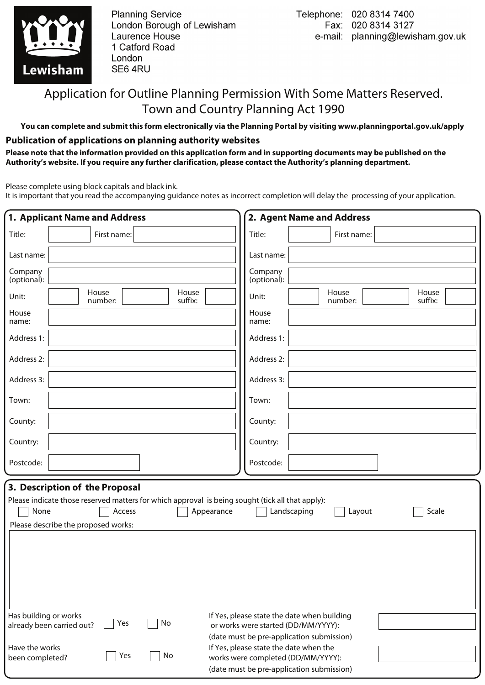

**Planning Service** London Borough of Lewisham Laurence House 1 Catford Road London SE6 4RU

# Application for Outline Planning Permission With Some Matters Reserved. Town and Country Planning Act 1990

**You can complete and submit this form electronically via the Planning Portal by visiting www.planningportal.gov.uk/apply**

### **Publication of applications on planning authority websites**

**Please note that the information provided on this application form and in supporting documents may be published on the Authority's website. If you require any further clarification, please contact the Authority's planning department.**

Please complete using block capitals and black ink.

It is important that you read the accompanying guidance notes as incorrect completion will delay the processing of your application.

| 1. Applicant Name and Address                                                                                                                                                     |             |                  |                                                                                                                                                                        | 2. Agent Name and Address |                  |
|-----------------------------------------------------------------------------------------------------------------------------------------------------------------------------------|-------------|------------------|------------------------------------------------------------------------------------------------------------------------------------------------------------------------|---------------------------|------------------|
| Title:                                                                                                                                                                            | First name: |                  | Title:                                                                                                                                                                 | First name:               |                  |
| Last name:                                                                                                                                                                        |             |                  | Last name:                                                                                                                                                             |                           |                  |
| Company<br>(optional):                                                                                                                                                            |             |                  | Company<br>(optional):                                                                                                                                                 |                           |                  |
| House<br>Unit:                                                                                                                                                                    | number:     | House<br>suffix: | Unit:                                                                                                                                                                  | House<br>number:          | House<br>suffix: |
| House<br>name:                                                                                                                                                                    |             |                  | House<br>name:                                                                                                                                                         |                           |                  |
| Address 1:                                                                                                                                                                        |             |                  | Address 1:                                                                                                                                                             |                           |                  |
| Address 2:                                                                                                                                                                        |             |                  | Address 2:                                                                                                                                                             |                           |                  |
| Address 3:                                                                                                                                                                        |             |                  | Address 3:                                                                                                                                                             |                           |                  |
| Town:                                                                                                                                                                             |             |                  | Town:                                                                                                                                                                  |                           |                  |
| County:                                                                                                                                                                           |             |                  | County:                                                                                                                                                                |                           |                  |
| Country:                                                                                                                                                                          |             |                  | Country:                                                                                                                                                               |                           |                  |
| Postcode:                                                                                                                                                                         |             |                  | Postcode:                                                                                                                                                              |                           |                  |
| 3. Description of the Proposal<br>Please indicate those reserved matters for which approval is being sought (tick all that apply):<br>None<br>Please describe the proposed works: | Access      | Appearance       | Landscaping                                                                                                                                                            | Layout                    | Scale            |
| Has building or works<br>already been carried out?                                                                                                                                | Yes<br>No   |                  | If Yes, please state the date when building<br>or works were started (DD/MM/YYYY):                                                                                     |                           |                  |
| Have the works<br>been completed?                                                                                                                                                 | No<br>Yes   |                  | (date must be pre-application submission)<br>If Yes, please state the date when the<br>works were completed (DD/MM/YYYY):<br>(date must be pre-application submission) |                           |                  |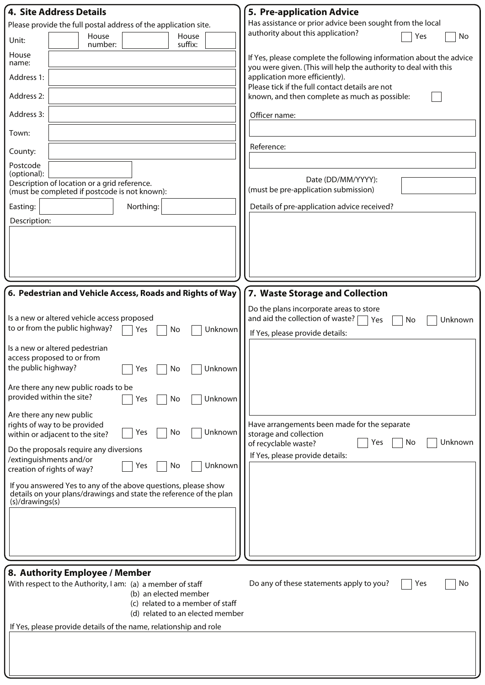| <b>4. Site Address Details</b>                                                                                                                          | <b>5. Pre-application Advice</b>                                                                                                      |
|---------------------------------------------------------------------------------------------------------------------------------------------------------|---------------------------------------------------------------------------------------------------------------------------------------|
| Please provide the full postal address of the application site.                                                                                         | Has assistance or prior advice been sought from the local                                                                             |
| House<br>House<br>Unit:<br>suffix:<br>number:                                                                                                           | authority about this application?<br>Yes<br>No                                                                                        |
| House<br>name:                                                                                                                                          | If Yes, please complete the following information about the advice<br>you were given. (This will help the authority to deal with this |
| Address 1:                                                                                                                                              | application more efficiently).<br>Please tick if the full contact details are not                                                     |
| Address 2:                                                                                                                                              | known, and then complete as much as possible:                                                                                         |
| Address 3:                                                                                                                                              | Officer name:                                                                                                                         |
| Town:                                                                                                                                                   |                                                                                                                                       |
| County:                                                                                                                                                 | Reference:                                                                                                                            |
| Postcode<br>(optional):                                                                                                                                 |                                                                                                                                       |
| Description of location or a grid reference.<br>(must be completed if postcode is not known):                                                           | Date (DD/MM/YYYY):<br>(must be pre-application submission)                                                                            |
| Northing:<br>Easting:                                                                                                                                   | Details of pre-application advice received?                                                                                           |
| Description:                                                                                                                                            |                                                                                                                                       |
|                                                                                                                                                         |                                                                                                                                       |
|                                                                                                                                                         |                                                                                                                                       |
|                                                                                                                                                         |                                                                                                                                       |
| 6. Pedestrian and Vehicle Access, Roads and Rights of Way                                                                                               | 7. Waste Storage and Collection                                                                                                       |
|                                                                                                                                                         | Do the plans incorporate areas to store                                                                                               |
| Is a new or altered vehicle access proposed<br>to or from the public highway?<br>Unknown<br>No<br>Yes                                                   | and aid the collection of waste?  <br>  Yes<br>Unknown<br>No                                                                          |
|                                                                                                                                                         | If Yes, please provide details:                                                                                                       |
| Is a new or altered pedestrian<br>access proposed to or from                                                                                            |                                                                                                                                       |
| the public highway?<br>□ Unknown<br>$\exists$ Yes $\Box$ No                                                                                             |                                                                                                                                       |
| Are there any new public roads to be                                                                                                                    |                                                                                                                                       |
| provided within the site?<br>Unknown<br>No<br>Yes                                                                                                       |                                                                                                                                       |
| Are there any new public<br>rights of way to be provided                                                                                                | Have arrangements been made for the separate                                                                                          |
| Unknown<br>No<br>Yes<br>within or adjacent to the site?                                                                                                 | storage and collection<br>Unknown<br>Yes<br>No<br>of recyclable waste?                                                                |
| Do the proposals require any diversions<br>/extinguishments and/or                                                                                      | If Yes, please provide details:                                                                                                       |
| Unknown<br>Yes<br>No<br>creation of rights of way?                                                                                                      |                                                                                                                                       |
| If you answered Yes to any of the above questions, please show<br>details on your plans/drawings and state the reference of the plan<br>(s)/drawings(s) |                                                                                                                                       |
|                                                                                                                                                         |                                                                                                                                       |
|                                                                                                                                                         |                                                                                                                                       |
|                                                                                                                                                         |                                                                                                                                       |
|                                                                                                                                                         |                                                                                                                                       |
| 8. Authority Employee / Member<br>With respect to the Authority, I am: (a) a member of staff                                                            | Do any of these statements apply to you?<br>No<br>Yes                                                                                 |
| (b) an elected member<br>(c) related to a member of staff                                                                                               |                                                                                                                                       |
| (d) related to an elected member                                                                                                                        |                                                                                                                                       |
| If Yes, please provide details of the name, relationship and role                                                                                       |                                                                                                                                       |
|                                                                                                                                                         |                                                                                                                                       |
|                                                                                                                                                         |                                                                                                                                       |
|                                                                                                                                                         |                                                                                                                                       |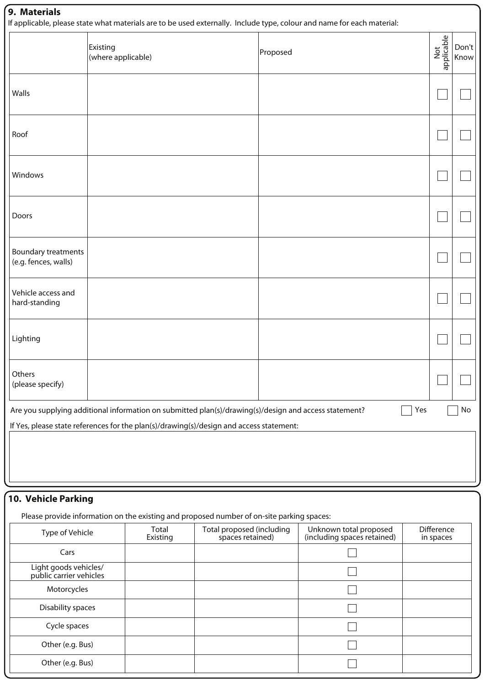### **9. Materials**

If applicable, please state what materials are to be used externally. Include type, colour and name for each material:

|                                                                                                                    | ii applicable, please state what materials are to be used externally. Therude type, colour and harne for each material.<br>Existing<br>(where applicable) | Proposed | Not<br>applicable | Don't<br>Know |  |  |  |
|--------------------------------------------------------------------------------------------------------------------|-----------------------------------------------------------------------------------------------------------------------------------------------------------|----------|-------------------|---------------|--|--|--|
| Walls                                                                                                              |                                                                                                                                                           |          |                   |               |  |  |  |
| Roof                                                                                                               |                                                                                                                                                           |          |                   |               |  |  |  |
| Windows                                                                                                            |                                                                                                                                                           |          |                   |               |  |  |  |
| Doors                                                                                                              |                                                                                                                                                           |          |                   |               |  |  |  |
| Boundary treatments<br>(e.g. fences, walls)                                                                        |                                                                                                                                                           |          |                   |               |  |  |  |
| Vehicle access and<br>hard-standing                                                                                |                                                                                                                                                           |          |                   |               |  |  |  |
| Lighting                                                                                                           |                                                                                                                                                           |          |                   |               |  |  |  |
| Others<br>(please specify)                                                                                         |                                                                                                                                                           |          |                   |               |  |  |  |
| Are you supplying additional information on submitted plan(s)/drawing(s)/design and access statement?<br>Yes<br>No |                                                                                                                                                           |          |                   |               |  |  |  |
|                                                                                                                    | If Yes, please state references for the plan(s)/drawing(s)/design and access statement:                                                                   |          |                   |               |  |  |  |
|                                                                                                                    |                                                                                                                                                           |          |                   |               |  |  |  |
|                                                                                                                    |                                                                                                                                                           |          |                   |               |  |  |  |

### **10. Vehicle Parking**

Please provide information on the existing and proposed number of on-site parking spaces:

| Type of Vehicle                                  | Total<br>Existing | Total proposed (including<br>spaces retained) | Unknown total proposed<br>(including spaces retained) | <b>Difference</b><br>in spaces |
|--------------------------------------------------|-------------------|-----------------------------------------------|-------------------------------------------------------|--------------------------------|
| Cars                                             |                   |                                               |                                                       |                                |
| Light goods vehicles/<br>public carrier vehicles |                   |                                               |                                                       |                                |
| Motorcycles                                      |                   |                                               |                                                       |                                |
| Disability spaces                                |                   |                                               |                                                       |                                |
| Cycle spaces                                     |                   |                                               |                                                       |                                |
| Other (e.g. Bus)                                 |                   |                                               |                                                       |                                |
| Other (e.g. Bus)                                 |                   |                                               |                                                       |                                |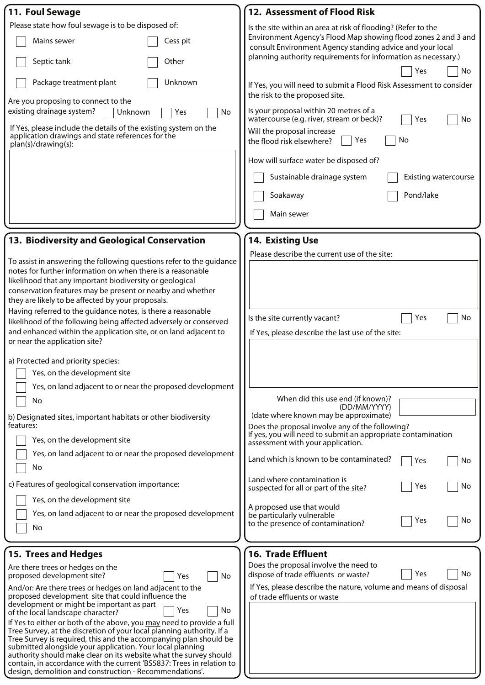| 11. Foul Sewage                                                                                                                                | 12. Assessment of Flood Risk                                                                                                |
|------------------------------------------------------------------------------------------------------------------------------------------------|-----------------------------------------------------------------------------------------------------------------------------|
| Please state how foul sewage is to be disposed of:                                                                                             | Is the site within an area at risk of flooding? (Refer to the                                                               |
| Mains sewer<br>Cess pit                                                                                                                        | Environment Agency's Flood Map showing flood zones 2 and 3 and<br>consult Environment Agency standing advice and your local |
| Septic tank<br>Other                                                                                                                           | planning authority requirements for information as necessary.)<br>No<br>Yes                                                 |
| Unknown<br>Package treatment plant                                                                                                             | If Yes, you will need to submit a Flood Risk Assessment to consider                                                         |
| Are you proposing to connect to the<br>existing drainage system?                                                                               | the risk to the proposed site.<br>Is your proposal within 20 metres of a                                                    |
| Unknown<br>No<br>Yes<br>If Yes, please include the details of the existing system on the                                                       | watercourse (e.g. river, stream or beck)?<br>No<br>Yes                                                                      |
| application drawings and state references for the<br>plan(s)/drawing(s):                                                                       | Will the proposal increase<br>No<br>the flood risk elsewhere?<br>Yes                                                        |
|                                                                                                                                                | How will surface water be disposed of?                                                                                      |
|                                                                                                                                                | Sustainable drainage system<br><b>Existing watercourse</b>                                                                  |
|                                                                                                                                                | Pond/lake<br>Soakaway                                                                                                       |
|                                                                                                                                                | Main sewer                                                                                                                  |
| 13. Biodiversity and Geological Conservation                                                                                                   | 14. Existing Use                                                                                                            |
|                                                                                                                                                | Please describe the current use of the site:                                                                                |
| To assist in answering the following questions refer to the guidance<br>notes for further information on when there is a reasonable            |                                                                                                                             |
| likelihood that any important biodiversity or geological                                                                                       |                                                                                                                             |
| conservation features may be present or nearby and whether                                                                                     |                                                                                                                             |
| they are likely to be affected by your proposals.<br>Having referred to the guidance notes, is there a reasonable                              |                                                                                                                             |
| likelihood of the following being affected adversely or conserved                                                                              | Is the site currently vacant?<br>Yes<br>No                                                                                  |
| and enhanced within the application site, or on land adjacent to                                                                               | If Yes, please describe the last use of the site:                                                                           |
| or near the application site?                                                                                                                  |                                                                                                                             |
| a) Protected and priority species:                                                                                                             |                                                                                                                             |
| Yes, on the development site                                                                                                                   |                                                                                                                             |
| Yes, on land adjacent to or near the proposed development                                                                                      |                                                                                                                             |
| No                                                                                                                                             | When did this use end (if known)?<br>(DD/MM/YYYY)                                                                           |
| b) Designated sites, important habitats or other biodiversity                                                                                  | (date where known may be approximate)                                                                                       |
| features:                                                                                                                                      | Does the proposal involve any of the following?<br>If yes, you will need to submit an appropriate contamination             |
| Yes, on the development site                                                                                                                   | assessment with your application.                                                                                           |
| Yes, on land adjacent to or near the proposed development<br>No                                                                                | Land which is known to be contaminated?<br>Yes<br>No                                                                        |
| c) Features of geological conservation importance:                                                                                             | Land where contamination is<br>No<br>Yes<br>suspected for all or part of the site?                                          |
| Yes, on the development site                                                                                                                   |                                                                                                                             |
| Yes, on land adjacent to or near the proposed development                                                                                      | A proposed use that would<br>be particularly vulnerable<br>No<br>Yes                                                        |
| No                                                                                                                                             | to the presence of contamination?                                                                                           |
|                                                                                                                                                |                                                                                                                             |
| [15. Trees and Hedges                                                                                                                          | <b>16. Trade Effluent</b>                                                                                                   |
| Are there trees or hedges on the<br>proposed development site?<br>No<br>Yes                                                                    | Does the proposal involve the need to<br>No<br>Yes<br>dispose of trade effluents or waste?                                  |
| And/or: Are there trees or hedges on land adjacent to the                                                                                      | If Yes, please describe the nature, volume and means of disposal                                                            |
| proposed development site that could influence the<br>development or might be important as part                                                | of trade effluents or waste                                                                                                 |
| No<br>Yes<br>of the local landscape character?                                                                                                 |                                                                                                                             |
| If Yes to either or both of the above, you may need to provide a full<br>Tree Survey, at the discretion of your local planning authority. If a |                                                                                                                             |
| Tree Survey is required, this and the accompanying plan should be<br>submitted alongside your application. Your local planning                 |                                                                                                                             |
| authority should make clear on its website what the survey should                                                                              |                                                                                                                             |
| contain, in accordance with the current 'BS5837: Trees in relation to<br>design, demolition and construction - Recommendations'.               |                                                                                                                             |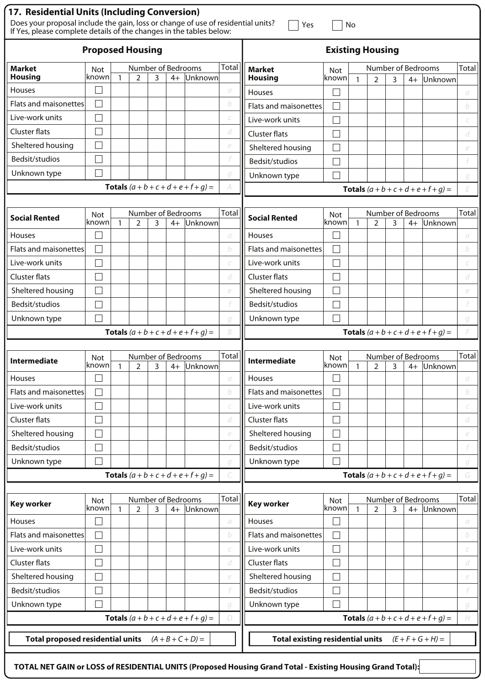| 17. Residential Units (Including Conversion)<br>Does your proposal include the gain, loss or change of use of residential units?<br>If Yes, please complete details of the changes in the tables below: |                         |              |                                      |   |      |                                               |          | Yes                                     |                                               | No           |                                      |   |      |                                               |              |
|---------------------------------------------------------------------------------------------------------------------------------------------------------------------------------------------------------|-------------------------|--------------|--------------------------------------|---|------|-----------------------------------------------|----------|-----------------------------------------|-----------------------------------------------|--------------|--------------------------------------|---|------|-----------------------------------------------|--------------|
|                                                                                                                                                                                                         | <b>Proposed Housing</b> |              |                                      |   |      |                                               |          |                                         | <b>Existing Housing</b>                       |              |                                      |   |      |                                               |              |
| <b>Market</b><br><b>Housing</b>                                                                                                                                                                         | Not                     |              | Number of Bedrooms                   |   |      |                                               | Total    | <b>Market</b>                           | <b>Not</b>                                    |              | Number of Bedrooms                   |   |      |                                               | Total        |
| Houses                                                                                                                                                                                                  | known                   | $\mathbf{1}$ | $\overline{2}$                       | 3 | $4+$ | Unknown                                       | a        | <b>Housing</b>                          | known                                         | $\mathbf{1}$ | $\overline{2}$                       | 3 | $4+$ | Unknown                                       |              |
| Flats and maisonettes                                                                                                                                                                                   |                         |              |                                      |   |      |                                               | b        | Houses                                  |                                               |              |                                      |   |      |                                               | a            |
| Live-work units                                                                                                                                                                                         |                         |              |                                      |   |      |                                               |          | Flats and maisonettes                   |                                               |              |                                      |   |      |                                               | b            |
| Cluster flats                                                                                                                                                                                           |                         |              |                                      |   |      |                                               | d        | Live-work units                         |                                               |              |                                      |   |      |                                               | C            |
| Sheltered housing                                                                                                                                                                                       |                         |              |                                      |   |      |                                               | e        | Cluster flats                           |                                               |              |                                      |   |      |                                               | d            |
| Bedsit/studios                                                                                                                                                                                          |                         |              |                                      |   |      |                                               |          | Sheltered housing                       |                                               |              |                                      |   |      |                                               | e            |
| Unknown type                                                                                                                                                                                            |                         |              |                                      |   |      |                                               | g        | Bedsit/studios                          |                                               |              |                                      |   |      |                                               |              |
|                                                                                                                                                                                                         |                         |              |                                      |   |      | <b>Totals</b> $(a + b + c + d + e + f + g) =$ |          | Unknown type                            |                                               |              |                                      |   |      |                                               | g            |
|                                                                                                                                                                                                         |                         |              |                                      |   |      |                                               |          |                                         |                                               |              |                                      |   |      | <b>Totals</b> $(a + b + c + d + e + f + g) =$ | F            |
| <b>Social Rented</b>                                                                                                                                                                                    | Not<br>known            | $\mathbf{1}$ | Number of Bedrooms<br>$\overline{2}$ | 3 | $4+$ | Unknown                                       | Total    | <b>Social Rented</b>                    | <b>Not</b><br>known                           | $\mathbf{1}$ | Number of Bedrooms<br>$\overline{2}$ | 3 | $4+$ | Unknown                                       | Total        |
| <b>Houses</b>                                                                                                                                                                                           |                         |              |                                      |   |      |                                               | $\sigma$ | Houses                                  |                                               |              |                                      |   |      |                                               | a            |
| <b>Flats and maisonettes</b>                                                                                                                                                                            |                         |              |                                      |   |      |                                               | b        | Flats and maisonettes                   |                                               |              |                                      |   |      |                                               | b            |
| Live-work units                                                                                                                                                                                         |                         |              |                                      |   |      |                                               | C        | Live-work units                         |                                               |              |                                      |   |      |                                               |              |
| Cluster flats                                                                                                                                                                                           |                         |              |                                      |   |      |                                               | d        | Cluster flats                           |                                               |              |                                      |   |      |                                               | d            |
| Sheltered housing                                                                                                                                                                                       |                         |              |                                      |   |      |                                               | e        | Sheltered housing                       |                                               |              |                                      |   |      |                                               | e            |
| Bedsit/studios                                                                                                                                                                                          |                         |              |                                      |   |      |                                               |          | Bedsit/studios                          |                                               |              |                                      |   |      |                                               |              |
| Unknown type                                                                                                                                                                                            |                         |              |                                      |   |      |                                               | q        | Unknown type                            |                                               |              |                                      |   |      |                                               | g            |
| <b>Totals</b> $(a + b + c + d + e + f + g) =$                                                                                                                                                           |                         | B.           |                                      |   |      |                                               |          |                                         | <b>Totals</b> $(a + b + c + d + e + f + g) =$ |              |                                      |   |      |                                               |              |
|                                                                                                                                                                                                         |                         |              |                                      |   |      |                                               |          |                                         |                                               |              |                                      |   |      |                                               |              |
| <b>Intermediate</b>                                                                                                                                                                                     | <b>Not</b><br>lknown.   | 1            | Number of Bedrooms<br>$\mathcal{P}$  | 3 | 4+   | Unknown                                       | Total    | Intermediate                            | <b>Not</b><br>known                           | $\mathbf{1}$ | Number of Bedrooms<br>$\overline{2}$ | 3 |      | 4+ Unknown                                    | Total        |
| <b>Houses</b>                                                                                                                                                                                           |                         |              |                                      |   |      |                                               | $\cal G$ | Houses                                  | $\sim$ 1                                      |              |                                      |   |      |                                               | а            |
| <b>Flats and maisonettes</b>                                                                                                                                                                            |                         |              |                                      |   |      |                                               | b        | Flats and maisonettes                   |                                               |              |                                      |   |      |                                               | b            |
| Live-work units                                                                                                                                                                                         |                         |              |                                      |   |      |                                               |          | Live-work units                         |                                               |              |                                      |   |      |                                               | C            |
| Cluster flats                                                                                                                                                                                           |                         |              |                                      |   |      |                                               | d        | <b>Cluster flats</b>                    |                                               |              |                                      |   |      |                                               | d            |
| Sheltered housing                                                                                                                                                                                       |                         |              |                                      |   |      |                                               | e        | Sheltered housing                       |                                               |              |                                      |   |      |                                               | e            |
| Bedsit/studios                                                                                                                                                                                          |                         |              |                                      |   |      |                                               |          | Bedsit/studios                          |                                               |              |                                      |   |      |                                               |              |
| Unknown type                                                                                                                                                                                            |                         |              |                                      |   |      |                                               | q        | Unknown type                            | $\sim$                                        |              |                                      |   |      |                                               | g            |
|                                                                                                                                                                                                         |                         |              |                                      |   |      | <b>Totals</b> $(a + b + c + d + e + f + g) =$ |          |                                         |                                               |              |                                      |   |      | <b>Totals</b> $(a + b + c + d + e + f + g) =$ | G            |
|                                                                                                                                                                                                         |                         |              | Number of Bedrooms                   |   |      |                                               | Total    |                                         |                                               |              | Number of Bedrooms                   |   |      |                                               | <b>Total</b> |
| <b>Key worker</b>                                                                                                                                                                                       | <b>Not</b><br>known     | $\mathbf{1}$ | 2                                    | 3 | $4+$ | Unknown                                       |          | <b>Key worker</b>                       | Not<br>known                                  | $\mathbf{1}$ | $\overline{2}$                       | 3 | $4+$ | Unknown                                       |              |
| <b>Houses</b>                                                                                                                                                                                           |                         |              |                                      |   |      |                                               | $\cal G$ | Houses                                  |                                               |              |                                      |   |      |                                               | a            |
| Flats and maisonettes                                                                                                                                                                                   |                         |              |                                      |   |      |                                               | b        | Flats and maisonettes                   |                                               |              |                                      |   |      |                                               | b            |
| Live-work units                                                                                                                                                                                         |                         |              |                                      |   |      |                                               | Ċ        | Live-work units                         | $\sim$ 1                                      |              |                                      |   |      |                                               | C            |
| Cluster flats                                                                                                                                                                                           |                         |              |                                      |   |      |                                               | d        | <b>Cluster flats</b>                    |                                               |              |                                      |   |      |                                               | d            |
| Sheltered housing                                                                                                                                                                                       |                         |              |                                      |   |      |                                               | e        | Sheltered housing                       |                                               |              |                                      |   |      |                                               | e            |
| Bedsit/studios                                                                                                                                                                                          |                         |              |                                      |   |      |                                               |          | Bedsit/studios                          |                                               |              |                                      |   |      |                                               |              |
| Unknown type                                                                                                                                                                                            |                         |              |                                      |   |      |                                               | q        | Unknown type                            |                                               |              |                                      |   |      |                                               | g            |
|                                                                                                                                                                                                         |                         |              |                                      |   |      | <b>Totals</b> $(a + b + c + d + e + f + g) =$ | D        |                                         |                                               |              |                                      |   |      | <b>Totals</b> $(a + b + c + d + e + f + g) =$ | H            |
| <b>Total proposed residential units</b>                                                                                                                                                                 |                         |              |                                      |   |      | $(A + B + C + D) =$                           |          | <b>Total existing residential units</b> |                                               |              |                                      |   |      | $(E + F + G + H) =$                           |              |
|                                                                                                                                                                                                         |                         |              |                                      |   |      |                                               |          |                                         |                                               |              |                                      |   |      |                                               |              |

**TOTAL NET GAIN or LOSS of RESIDENTIAL UNITS (Proposed Housing Grand Total - Existing Housing Grand Total):**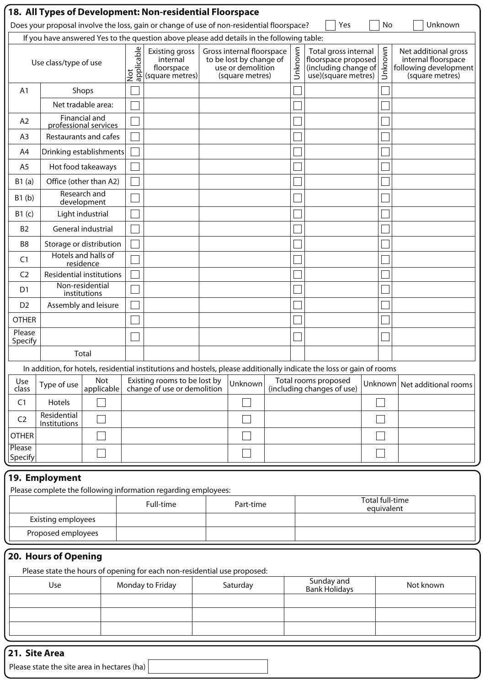|                                                                                           | 18. All Types of Development: Non-residential Floorspace                                                          |                                        |                             |                                                                          |  |                                                                                              |  |                      |                                                                                                                       |  |                        |                                                                                         |
|-------------------------------------------------------------------------------------------|-------------------------------------------------------------------------------------------------------------------|----------------------------------------|-----------------------------|--------------------------------------------------------------------------|--|----------------------------------------------------------------------------------------------|--|----------------------|-----------------------------------------------------------------------------------------------------------------------|--|------------------------|-----------------------------------------------------------------------------------------|
|                                                                                           | Does your proposal involve the loss, gain or change of use of non-residential floorspace?<br>Yes<br>No<br>Unknown |                                        |                             |                                                                          |  |                                                                                              |  |                      |                                                                                                                       |  |                        |                                                                                         |
| If you have answered Yes to the question above please add details in the following table: |                                                                                                                   |                                        |                             |                                                                          |  |                                                                                              |  |                      |                                                                                                                       |  |                        |                                                                                         |
|                                                                                           | Use class/type of use                                                                                             |                                        | applicable<br>$\frac{1}{2}$ | <b>Existing gross</b><br>internal<br>floorspace<br>(square metres)       |  | Gross internal floorspace<br>to be lost by change of<br>use or demolition<br>(square metres) |  | Unknown              | Total gross internal<br>floorspace proposed<br>(including change of<br>use)(square metres)                            |  | Unknown                | Net additional gross<br>internal floorspace<br>following development<br>(square metres) |
| A1                                                                                        | Shops                                                                                                             |                                        |                             |                                                                          |  |                                                                                              |  |                      |                                                                                                                       |  |                        |                                                                                         |
|                                                                                           |                                                                                                                   | Net tradable area:                     |                             |                                                                          |  |                                                                                              |  |                      |                                                                                                                       |  |                        |                                                                                         |
| A <sub>2</sub>                                                                            |                                                                                                                   | Financial and<br>professional services |                             |                                                                          |  |                                                                                              |  |                      |                                                                                                                       |  |                        |                                                                                         |
| A <sub>3</sub>                                                                            | Restaurants and cafes                                                                                             |                                        |                             |                                                                          |  |                                                                                              |  |                      |                                                                                                                       |  |                        |                                                                                         |
| A4                                                                                        | Drinking establishments                                                                                           |                                        |                             |                                                                          |  |                                                                                              |  |                      |                                                                                                                       |  |                        |                                                                                         |
| A <sub>5</sub>                                                                            |                                                                                                                   | Hot food takeaways                     |                             |                                                                          |  |                                                                                              |  |                      |                                                                                                                       |  |                        |                                                                                         |
| B1(a)                                                                                     | Office (other than A2)                                                                                            |                                        |                             |                                                                          |  |                                                                                              |  |                      |                                                                                                                       |  |                        |                                                                                         |
| B1(b)                                                                                     | Research and<br>development                                                                                       |                                        |                             |                                                                          |  |                                                                                              |  |                      |                                                                                                                       |  |                        |                                                                                         |
| B1(c)                                                                                     |                                                                                                                   | Light industrial                       |                             |                                                                          |  |                                                                                              |  |                      |                                                                                                                       |  |                        |                                                                                         |
| <b>B2</b>                                                                                 | General industrial                                                                                                |                                        |                             |                                                                          |  |                                                                                              |  |                      |                                                                                                                       |  |                        |                                                                                         |
| B <sub>8</sub>                                                                            | Storage or distribution                                                                                           |                                        |                             |                                                                          |  |                                                                                              |  |                      |                                                                                                                       |  |                        |                                                                                         |
| C <sub>1</sub>                                                                            |                                                                                                                   | Hotels and halls of<br>residence       |                             |                                                                          |  |                                                                                              |  |                      |                                                                                                                       |  |                        |                                                                                         |
| C <sub>2</sub>                                                                            | Residential institutions                                                                                          |                                        |                             |                                                                          |  |                                                                                              |  |                      |                                                                                                                       |  |                        |                                                                                         |
| D <sub>1</sub>                                                                            | Non-residential<br>institutions                                                                                   |                                        |                             |                                                                          |  |                                                                                              |  |                      |                                                                                                                       |  |                        |                                                                                         |
| D <sub>2</sub>                                                                            | Assembly and leisure                                                                                              |                                        |                             |                                                                          |  |                                                                                              |  |                      |                                                                                                                       |  |                        |                                                                                         |
| <b>OTHER</b>                                                                              |                                                                                                                   |                                        |                             |                                                                          |  |                                                                                              |  |                      |                                                                                                                       |  |                        |                                                                                         |
| Please<br>Specify                                                                         |                                                                                                                   |                                        |                             |                                                                          |  |                                                                                              |  |                      |                                                                                                                       |  |                        |                                                                                         |
|                                                                                           | Total                                                                                                             |                                        |                             |                                                                          |  |                                                                                              |  |                      |                                                                                                                       |  |                        |                                                                                         |
|                                                                                           |                                                                                                                   |                                        |                             |                                                                          |  |                                                                                              |  |                      | In addition, for hotels, residential institutions and hostels, please additionally indicate the loss or gain of rooms |  |                        |                                                                                         |
| Use<br>class                                                                              | Type of use                                                                                                       | Not<br>applicable                      |                             | Existing rooms to be lost by<br>change of use or demolition              |  | Unknown                                                                                      |  |                      | Total rooms proposed<br>(including changes of use)                                                                    |  |                        | Unknown   Net additional rooms                                                          |
| C <sub>1</sub>                                                                            | Hotels                                                                                                            |                                        |                             |                                                                          |  |                                                                                              |  |                      |                                                                                                                       |  |                        |                                                                                         |
| C <sub>2</sub>                                                                            | Residential<br>Institutions                                                                                       |                                        |                             |                                                                          |  |                                                                                              |  |                      |                                                                                                                       |  |                        |                                                                                         |
| <b>OTHER</b>                                                                              |                                                                                                                   |                                        |                             |                                                                          |  |                                                                                              |  |                      |                                                                                                                       |  |                        |                                                                                         |
| Please<br>Specify                                                                         |                                                                                                                   |                                        |                             |                                                                          |  |                                                                                              |  |                      |                                                                                                                       |  |                        |                                                                                         |
|                                                                                           | 19. Employment                                                                                                    |                                        |                             |                                                                          |  |                                                                                              |  |                      |                                                                                                                       |  |                        |                                                                                         |
|                                                                                           |                                                                                                                   |                                        |                             | Please complete the following information regarding employees:           |  |                                                                                              |  |                      |                                                                                                                       |  | <b>Total full-time</b> |                                                                                         |
|                                                                                           |                                                                                                                   |                                        |                             | Full-time                                                                |  | Part-time                                                                                    |  |                      |                                                                                                                       |  | equivalent             |                                                                                         |
|                                                                                           | Existing employees                                                                                                |                                        |                             |                                                                          |  |                                                                                              |  |                      |                                                                                                                       |  |                        |                                                                                         |
|                                                                                           | Proposed employees                                                                                                |                                        |                             |                                                                          |  |                                                                                              |  |                      |                                                                                                                       |  |                        |                                                                                         |
|                                                                                           | 20. Hours of Opening                                                                                              |                                        |                             |                                                                          |  |                                                                                              |  |                      |                                                                                                                       |  |                        |                                                                                         |
|                                                                                           |                                                                                                                   |                                        |                             | Please state the hours of opening for each non-residential use proposed: |  |                                                                                              |  |                      | Sunday and                                                                                                            |  |                        |                                                                                         |
|                                                                                           | Use                                                                                                               |                                        |                             | Monday to Friday                                                         |  | Saturday                                                                                     |  | <b>Bank Holidays</b> |                                                                                                                       |  |                        | Not known                                                                               |
|                                                                                           |                                                                                                                   |                                        |                             |                                                                          |  |                                                                                              |  |                      |                                                                                                                       |  |                        |                                                                                         |
|                                                                                           |                                                                                                                   |                                        |                             |                                                                          |  |                                                                                              |  |                      |                                                                                                                       |  |                        |                                                                                         |
|                                                                                           |                                                                                                                   |                                        |                             |                                                                          |  |                                                                                              |  |                      |                                                                                                                       |  |                        |                                                                                         |

## **21. Site Area**

Please state the site area in hectares (ha)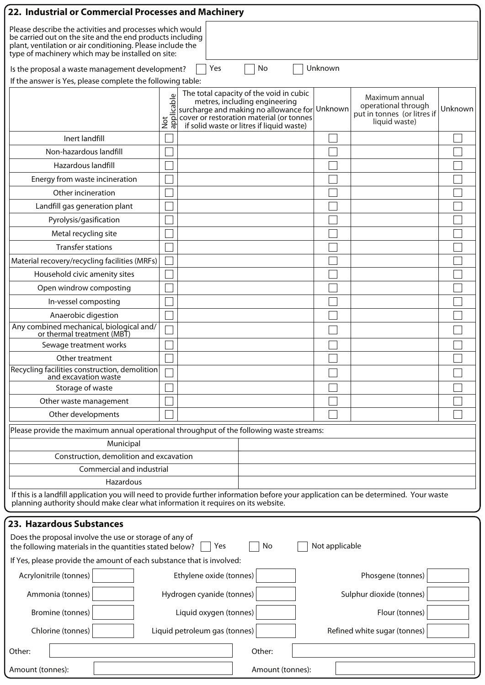| 22. Industrial or Commercial Processes and Machinery                                                                                                                                                                                     |                                  |                               |                                                                                                                                                                                                                    |                |                                                                                       |         |  |  |  |
|------------------------------------------------------------------------------------------------------------------------------------------------------------------------------------------------------------------------------------------|----------------------------------|-------------------------------|--------------------------------------------------------------------------------------------------------------------------------------------------------------------------------------------------------------------|----------------|---------------------------------------------------------------------------------------|---------|--|--|--|
| Please describe the activities and processes which would<br>be carried out on the site and the end products including<br>plant, ventilation or air conditioning. Please include the<br>type of machinery which may be installed on site: |                                  |                               |                                                                                                                                                                                                                    |                |                                                                                       |         |  |  |  |
| Unknown<br>Yes<br>No<br>Is the proposal a waste management development?                                                                                                                                                                  |                                  |                               |                                                                                                                                                                                                                    |                |                                                                                       |         |  |  |  |
| If the answer is Yes, please complete the following table:                                                                                                                                                                               |                                  |                               |                                                                                                                                                                                                                    |                |                                                                                       |         |  |  |  |
|                                                                                                                                                                                                                                          | $\mathbb U$<br>Not<br>applicable |                               | The total capacity of the void in cubic<br>metres, including engineering<br>surcharge and making no allowance for Unknown<br>cover or restoration material (or tonnes<br>if solid waste or litres if liquid waste) |                | Maximum annual<br>operational through<br>put in tonnes (or litres if<br>liquid waste) | Unknown |  |  |  |
| Inert landfill                                                                                                                                                                                                                           |                                  |                               |                                                                                                                                                                                                                    |                |                                                                                       |         |  |  |  |
| Non-hazardous landfill                                                                                                                                                                                                                   |                                  |                               |                                                                                                                                                                                                                    |                |                                                                                       |         |  |  |  |
| Hazardous landfill                                                                                                                                                                                                                       |                                  |                               |                                                                                                                                                                                                                    |                |                                                                                       |         |  |  |  |
| Energy from waste incineration                                                                                                                                                                                                           |                                  |                               |                                                                                                                                                                                                                    |                |                                                                                       |         |  |  |  |
| Other incineration                                                                                                                                                                                                                       |                                  |                               |                                                                                                                                                                                                                    |                |                                                                                       |         |  |  |  |
| Landfill gas generation plant                                                                                                                                                                                                            |                                  |                               |                                                                                                                                                                                                                    |                |                                                                                       |         |  |  |  |
| Pyrolysis/gasification                                                                                                                                                                                                                   |                                  |                               |                                                                                                                                                                                                                    |                |                                                                                       |         |  |  |  |
| Metal recycling site                                                                                                                                                                                                                     |                                  |                               |                                                                                                                                                                                                                    |                |                                                                                       |         |  |  |  |
| <b>Transfer stations</b>                                                                                                                                                                                                                 |                                  |                               |                                                                                                                                                                                                                    |                |                                                                                       |         |  |  |  |
| Material recovery/recycling facilities (MRFs)                                                                                                                                                                                            |                                  |                               |                                                                                                                                                                                                                    |                |                                                                                       |         |  |  |  |
| Household civic amenity sites                                                                                                                                                                                                            |                                  |                               |                                                                                                                                                                                                                    |                |                                                                                       |         |  |  |  |
| Open windrow composting                                                                                                                                                                                                                  |                                  |                               |                                                                                                                                                                                                                    |                |                                                                                       |         |  |  |  |
| In-vessel composting                                                                                                                                                                                                                     |                                  |                               |                                                                                                                                                                                                                    |                |                                                                                       |         |  |  |  |
| Anaerobic digestion                                                                                                                                                                                                                      |                                  |                               |                                                                                                                                                                                                                    |                |                                                                                       |         |  |  |  |
| Any combined mechanical, biological and/<br>or thermal treatment (MBT)                                                                                                                                                                   |                                  |                               |                                                                                                                                                                                                                    |                |                                                                                       |         |  |  |  |
| Sewage treatment works                                                                                                                                                                                                                   |                                  |                               |                                                                                                                                                                                                                    |                |                                                                                       |         |  |  |  |
| Other treatment                                                                                                                                                                                                                          |                                  |                               |                                                                                                                                                                                                                    |                |                                                                                       |         |  |  |  |
| Recycling facilities construction, demolition<br>and excavation waste                                                                                                                                                                    |                                  |                               |                                                                                                                                                                                                                    |                |                                                                                       |         |  |  |  |
| Storage of waste                                                                                                                                                                                                                         |                                  |                               |                                                                                                                                                                                                                    |                |                                                                                       |         |  |  |  |
| Other waste management                                                                                                                                                                                                                   |                                  |                               |                                                                                                                                                                                                                    |                |                                                                                       |         |  |  |  |
| Other developments                                                                                                                                                                                                                       |                                  |                               |                                                                                                                                                                                                                    |                |                                                                                       |         |  |  |  |
| Please provide the maximum annual operational throughput of the following waste streams:                                                                                                                                                 |                                  |                               |                                                                                                                                                                                                                    |                |                                                                                       |         |  |  |  |
| Municipal                                                                                                                                                                                                                                |                                  |                               |                                                                                                                                                                                                                    |                |                                                                                       |         |  |  |  |
| Construction, demolition and excavation                                                                                                                                                                                                  |                                  |                               |                                                                                                                                                                                                                    |                |                                                                                       |         |  |  |  |
| Commercial and industrial                                                                                                                                                                                                                |                                  |                               |                                                                                                                                                                                                                    |                |                                                                                       |         |  |  |  |
| Hazardous                                                                                                                                                                                                                                |                                  |                               |                                                                                                                                                                                                                    |                |                                                                                       |         |  |  |  |
| If this is a landfill application you will need to provide further information before your application can be determined. Your waste<br>planning authority should make clear what information it requires on its website.                |                                  |                               |                                                                                                                                                                                                                    |                |                                                                                       |         |  |  |  |
| 23. Hazardous Substances                                                                                                                                                                                                                 |                                  |                               |                                                                                                                                                                                                                    |                |                                                                                       |         |  |  |  |
| Does the proposal involve the use or storage of any of<br>the following materials in the quantities stated below?                                                                                                                        |                                  | Yes                           | No                                                                                                                                                                                                                 | Not applicable |                                                                                       |         |  |  |  |
| If Yes, please provide the amount of each substance that is involved:                                                                                                                                                                    |                                  |                               |                                                                                                                                                                                                                    |                |                                                                                       |         |  |  |  |
| Acrylonitrile (tonnes)                                                                                                                                                                                                                   |                                  | Ethylene oxide (tonnes)       |                                                                                                                                                                                                                    |                | Phosgene (tonnes)                                                                     |         |  |  |  |
| Ammonia (tonnes)                                                                                                                                                                                                                         |                                  | Hydrogen cyanide (tonnes)     |                                                                                                                                                                                                                    |                | Sulphur dioxide (tonnes)                                                              |         |  |  |  |
| Bromine (tonnes)                                                                                                                                                                                                                         |                                  | Liquid oxygen (tonnes)        |                                                                                                                                                                                                                    |                | Flour (tonnes)                                                                        |         |  |  |  |
| Chlorine (tonnes)                                                                                                                                                                                                                        |                                  | Liquid petroleum gas (tonnes) |                                                                                                                                                                                                                    |                | Refined white sugar (tonnes)                                                          |         |  |  |  |
| Other:                                                                                                                                                                                                                                   |                                  |                               | Other:                                                                                                                                                                                                             |                |                                                                                       |         |  |  |  |
| Amount (tonnes):                                                                                                                                                                                                                         |                                  |                               | Amount (tonnes):                                                                                                                                                                                                   |                |                                                                                       |         |  |  |  |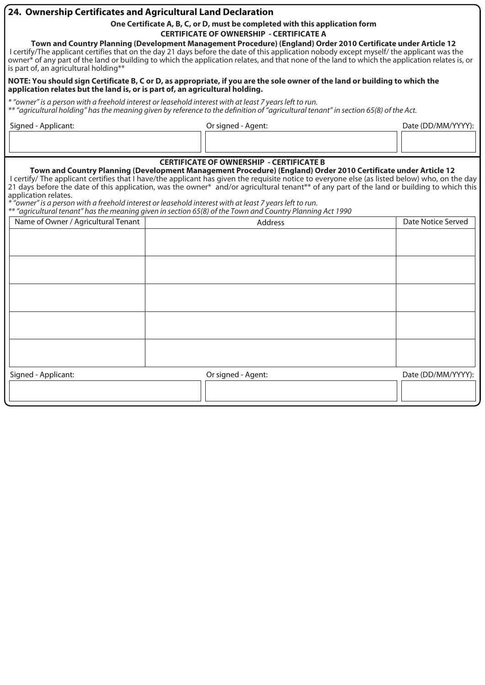#### **24. Ownership Certificates and Agricultural Land Declaration**

**One Certificate A, B, C, or D, must be completed with this application form** 

**CERTIFICATE OF OWNERSHIP - CERTIFICATE A** 

**Town and Country Planning (Development Management Procedure) (England) Order 2010 Certificate under Article 12**  I certify/The applicant certifies that on the day 21 days before the date of this application nobody except myself/ the applicant was the owner\* of any part of the land or building to which the application relates, and that none of the land to which the application relates is, or is part of, an agricultural holding\*\*

#### **NOTE: You should sign Certificate B, C or D, as appropriate, if you are the sole owner of the land or building to which the application relates but the land is, or is part of, an agricultural holding.**

*\* "owner" is a person with a freehold interest or leasehold interest with at least 7 years left to run. \*\* "agricultural holding" has the meaning given by reference to the definition of "agricultural tenant" in section 65(8) of the Act.*

| Signed - Applicant: | Or signed - Agent: | Date (DD/MM/YYYY): |
|---------------------|--------------------|--------------------|
|                     |                    |                    |

#### **CERTIFICATE OF OWNERSHIP - CERTIFICATE B**

**Town and Country Planning (Development Management Procedure) (England) Order 2010 Certificate under Article 12**  I certify/ The applicant certifies that I have/the applicant has given the requisite notice to everyone else (as listed below) who, on the day 21 days before the date of this application, was the owner\* and/or agricultural tenant\*\* of any part of the land or building to which this application relates.

*\* "owner" is a person with a freehold interest or leasehold interest with at least 7 years left to run.* 

*\*\* "agricultural tenant" has the meaning given in section 65(8) of the Town and Country Planning Act 1990*

| ╯<br>$\sim$<br>Name of Owner / Agricultural Tenant | Address            | Date Notice Served |
|----------------------------------------------------|--------------------|--------------------|
|                                                    |                    |                    |
|                                                    |                    |                    |
|                                                    |                    |                    |
|                                                    |                    |                    |
|                                                    |                    |                    |
|                                                    |                    |                    |
|                                                    |                    |                    |
|                                                    |                    |                    |
|                                                    |                    |                    |
|                                                    |                    |                    |
| Signed - Applicant:                                | Or signed - Agent: | Date (DD/MM/YYYY): |
|                                                    |                    |                    |
|                                                    |                    |                    |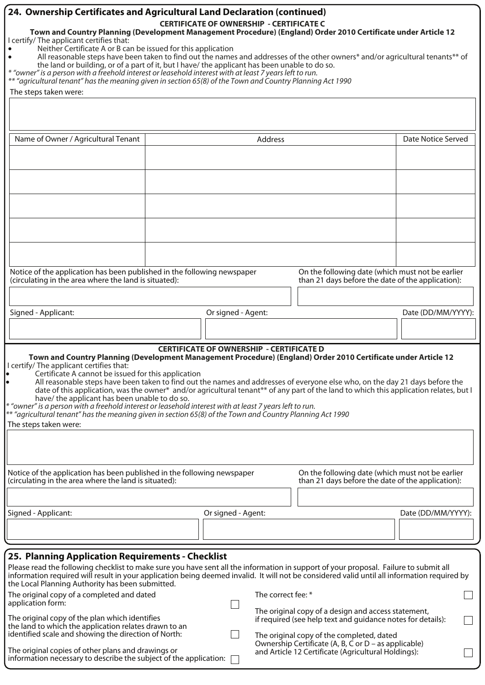| 24. Ownership Certificates and Agricultural Land Declaration (continued)<br>Town and Country Planning (Development Management Procedure) (England) Order 2010 Certificate under Article 12<br>I certify/ The applicant certifies that:<br>Neither Certificate A or B can be issued for this application<br>All reasonable steps have been taken to find out the names and addresses of the other owners* and/or agricultural tenants** of<br>the land or building, or of a part of it, but I have/ the applicant has been unable to do so.<br>* "owner" is a person with a freehold interest or leasehold interest with at least 7 years left to run.<br>** "agricultural tenant" has the meaning given in section 65(8) of the Town and Country Planning Act 1990<br>The steps taken were:   |                                                                                                                                                                                                                                        | <b>CERTIFICATE OF OWNERSHIP - CERTIFICATE C</b> |                    |                                                                                                                                                                 |                    |  |  |
|-----------------------------------------------------------------------------------------------------------------------------------------------------------------------------------------------------------------------------------------------------------------------------------------------------------------------------------------------------------------------------------------------------------------------------------------------------------------------------------------------------------------------------------------------------------------------------------------------------------------------------------------------------------------------------------------------------------------------------------------------------------------------------------------------|----------------------------------------------------------------------------------------------------------------------------------------------------------------------------------------------------------------------------------------|-------------------------------------------------|--------------------|-----------------------------------------------------------------------------------------------------------------------------------------------------------------|--------------------|--|--|
|                                                                                                                                                                                                                                                                                                                                                                                                                                                                                                                                                                                                                                                                                                                                                                                               |                                                                                                                                                                                                                                        |                                                 |                    |                                                                                                                                                                 |                    |  |  |
| Name of Owner / Agricultural Tenant                                                                                                                                                                                                                                                                                                                                                                                                                                                                                                                                                                                                                                                                                                                                                           |                                                                                                                                                                                                                                        |                                                 | Address            |                                                                                                                                                                 | Date Notice Served |  |  |
|                                                                                                                                                                                                                                                                                                                                                                                                                                                                                                                                                                                                                                                                                                                                                                                               |                                                                                                                                                                                                                                        |                                                 |                    |                                                                                                                                                                 |                    |  |  |
|                                                                                                                                                                                                                                                                                                                                                                                                                                                                                                                                                                                                                                                                                                                                                                                               |                                                                                                                                                                                                                                        |                                                 |                    |                                                                                                                                                                 |                    |  |  |
|                                                                                                                                                                                                                                                                                                                                                                                                                                                                                                                                                                                                                                                                                                                                                                                               |                                                                                                                                                                                                                                        |                                                 |                    |                                                                                                                                                                 |                    |  |  |
| Notice of the application has been published in the following newspaper<br>(circulating in the area where the land is situated):                                                                                                                                                                                                                                                                                                                                                                                                                                                                                                                                                                                                                                                              |                                                                                                                                                                                                                                        |                                                 |                    | On the following date (which must not be earlier<br>than 21 days before the date of the application):                                                           |                    |  |  |
| Signed - Applicant:                                                                                                                                                                                                                                                                                                                                                                                                                                                                                                                                                                                                                                                                                                                                                                           |                                                                                                                                                                                                                                        | Or signed - Agent:                              |                    |                                                                                                                                                                 | Date (DD/MM/YYYY): |  |  |
|                                                                                                                                                                                                                                                                                                                                                                                                                                                                                                                                                                                                                                                                                                                                                                                               |                                                                                                                                                                                                                                        |                                                 |                    |                                                                                                                                                                 |                    |  |  |
| Town and Country Planning (Development Management Procedure) (England) Order 2010 Certificate under Article 12<br>I certify/ The applicant certifies that:<br>Certificate A cannot be issued for this application<br>All reasonable steps have been taken to find out the names and addresses of everyone else who, on the day 21 days before the<br>date of this application, was the owner* and/or agricultural tenant** of any part of the land to which this application relates, but I<br>have/ the applicant has been unable to do so.<br>* "owner" is a person with a freehold interest or leasehold interest with at least 7 years left to run.<br>** "agricultural tenant" has the meaning given in section 65(8) of the Town and Country Planning Act 1990<br>The steps taken were: |                                                                                                                                                                                                                                        | <b>CERTIFICATE OF OWNERSHIP - CERTIFICATE D</b> |                    |                                                                                                                                                                 |                    |  |  |
| Notice of the application has been published in the following newspaper<br>(circulating in the area where the land is situated):                                                                                                                                                                                                                                                                                                                                                                                                                                                                                                                                                                                                                                                              |                                                                                                                                                                                                                                        |                                                 |                    | On the following date (which must not be earlier<br>than 21 days before the date of the application):                                                           |                    |  |  |
|                                                                                                                                                                                                                                                                                                                                                                                                                                                                                                                                                                                                                                                                                                                                                                                               |                                                                                                                                                                                                                                        |                                                 |                    |                                                                                                                                                                 |                    |  |  |
| Signed - Applicant:                                                                                                                                                                                                                                                                                                                                                                                                                                                                                                                                                                                                                                                                                                                                                                           |                                                                                                                                                                                                                                        | Or signed - Agent:                              |                    |                                                                                                                                                                 | Date (DD/MM/YYYY): |  |  |
| 25. Planning Application Requirements - Checklist                                                                                                                                                                                                                                                                                                                                                                                                                                                                                                                                                                                                                                                                                                                                             |                                                                                                                                                                                                                                        |                                                 |                    |                                                                                                                                                                 |                    |  |  |
| Please read the following checklist to make sure you have sent all the information in support of your proposal. Failure to submit all<br>information required will result in your application being deemed invalid. It will not be considered valid until all information required by<br>the Local Planning Authority has been submitted.                                                                                                                                                                                                                                                                                                                                                                                                                                                     |                                                                                                                                                                                                                                        |                                                 |                    |                                                                                                                                                                 |                    |  |  |
| The original copy of a completed and dated<br>application form:                                                                                                                                                                                                                                                                                                                                                                                                                                                                                                                                                                                                                                                                                                                               |                                                                                                                                                                                                                                        |                                                 | The correct fee: * |                                                                                                                                                                 |                    |  |  |
| The original copy of the plan which identifies<br>the land to which the application relates drawn to an<br>identified scale and showing the direction of North:                                                                                                                                                                                                                                                                                                                                                                                                                                                                                                                                                                                                                               |                                                                                                                                                                                                                                        |                                                 |                    | The original copy of a design and access statement,<br>if required (see help text and guidance notes for details):<br>The original copy of the completed, dated |                    |  |  |
|                                                                                                                                                                                                                                                                                                                                                                                                                                                                                                                                                                                                                                                                                                                                                                                               | Ownership Certificate (A, B, C or D – as applicable)<br>The original copies of other plans and drawings or<br>and Article 12 Certificate (Agricultural Holdings):<br>information necessary to describe the subject of the application: |                                                 |                    |                                                                                                                                                                 |                    |  |  |